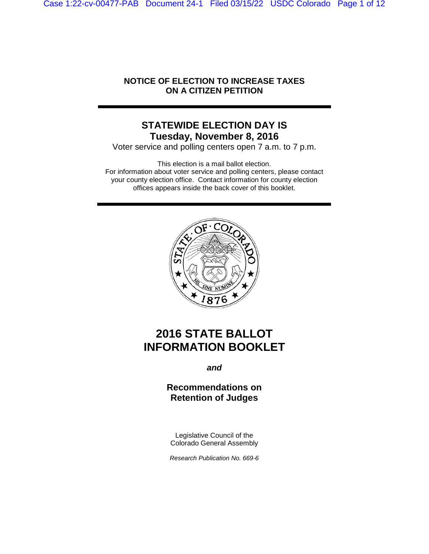Case 1:22-cv-00477-PAB Document 24-1 Filed 03/15/22 USDC Colorado Page 1 of 12

## **NOTICE OF ELECTION TO INCREASE TAXES ON A CITIZEN PETITION**

## **STATEWIDE ELECTION DAY IS Tuesday, November 8, 2016**

Voter service and polling centers open 7 a.m. to 7 p.m.

This election is a mail ballot election. For information about voter service and polling centers, please contact your county election office. Contact information for county election offices appears inside the back cover of this booklet.



# **2016 STATE BALLOT INFORMATION BOOKLET**

*and*

## **Recommendations on Retention of Judges**

Legislative Council of the Colorado General Assembly

*Research Publication No. 669-6*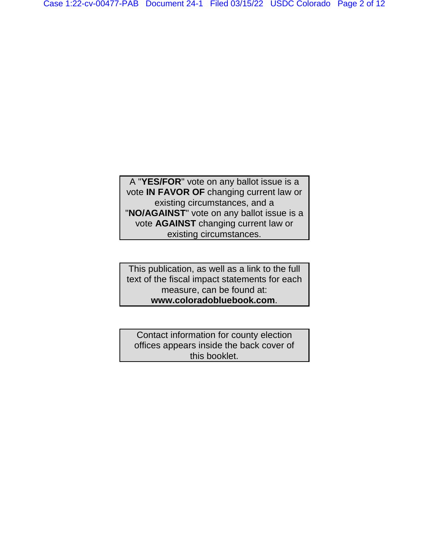A "**YES/FOR**" vote on any ballot issue is a vote **IN FAVOR OF** changing current law or existing circumstances, and a "**NO/AGAINST**" vote on any ballot issue is a vote **AGAINST** changing current law or existing circumstances.

This publication, as well as a link to the full text of the fiscal impact statements for each measure, can be found at: **www.coloradobluebook.com**.

Contact information for county election offices appears inside the back cover of this booklet.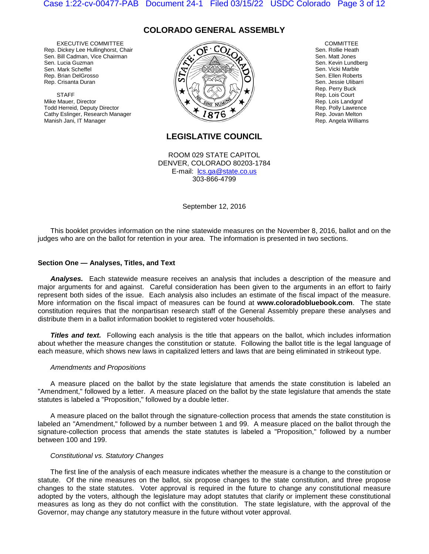## **COLORADO GENERAL ASSEMBLY**

EXECUTIVE COMMITTEE Rep. Dickey Lee Hullinghorst, Chair Sen. Bill Cadman, Vice Chairman Sen. Lucia Guzman Sen. Mark Scheffel Rep. Brian DelGrosso Rep. Crisanta Duran

**STAFF** Mike Mauer, Director Todd Herreid, Deputy Director Cathy Eslinger, Research Manager Manish Jani, IT Manager



**COMMITTEE** Sen. Rollie Heath Sen. Matt Jones Sen. Kevin Lundberg Sen. Vicki Marble Sen. Ellen Roberts Sen. Jessie Ulibarri Rep. Perry Buck Rep. Lois Court Rep. Lois Landgraf Rep. Polly Lawrence Rep. Jovan Melton Rep. Angela Williams

## **LEGISLATIVE COUNCIL**

ROOM 029 STATE CAPITOL DENVER, COLORADO 80203-1784 E-mail: lcs.ga@state.co.us 303-866-4799

September 12, 2016

This booklet provides information on the nine statewide measures on the November 8, 2016, ballot and on the judges who are on the ballot for retention in your area. The information is presented in two sections.

### **Section One — Analyses, Titles, and Text**

*Analyses.* Each statewide measure receives an analysis that includes a description of the measure and major arguments for and against. Careful consideration has been given to the arguments in an effort to fairly represent both sides of the issue. Each analysis also includes an estimate of the fiscal impact of the measure. More information on the fiscal impact of measures can be found at **www.coloradobluebook.com**. The state constitution requires that the nonpartisan research staff of the General Assembly prepare these analyses and distribute them in a ballot information booklet to registered voter households.

**Titles and text.** Following each analysis is the title that appears on the ballot, which includes information about whether the measure changes the constitution or statute. Following the ballot title is the legal language of each measure, which shows new laws in capitalized letters and laws that are being eliminated in strikeout type.

#### *Amendments and Propositions*

A measure placed on the ballot by the state legislature that amends the state constitution is labeled an "Amendment," followed by a letter. A measure placed on the ballot by the state legislature that amends the state statutes is labeled a "Proposition," followed by a double letter.

A measure placed on the ballot through the signature-collection process that amends the state constitution is labeled an "Amendment," followed by a number between 1 and 99. A measure placed on the ballot through the signature-collection process that amends the state statutes is labeled a "Proposition," followed by a number between 100 and 199.

#### *Constitutional vs. Statutory Changes*

The first line of the analysis of each measure indicates whether the measure is a change to the constitution or statute. Of the nine measures on the ballot, six propose changes to the state constitution, and three propose changes to the state statutes. Voter approval is required in the future to change any constitutional measure adopted by the voters, although the legislature may adopt statutes that clarify or implement these constitutional measures as long as they do not conflict with the constitution. The state legislature, with the approval of the Governor, may change any statutory measure in the future without voter approval.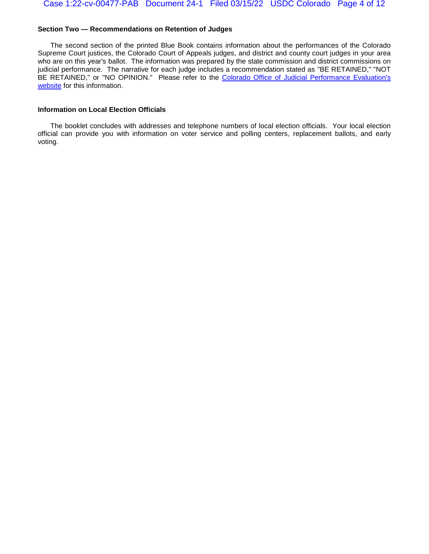### **Section Two — Recommendations on Retention of Judges**

The second section of the printed Blue Book contains information about the performances of the Colorado Supreme Court justices, the Colorado Court of Appeals judges, and district and county court judges in your area who are on this year's ballot. The information was prepared by the state commission and district commissions on judicial performance. The narrative for each judge includes a recommendation stated as "BE RETAINED," "NOT BE RETAINED," or "NO OPINION." Please refer to the Colorado Office of Judicial Performance Evaluation's [website](http://www.coloradojudicialperformance.gov/review.cfm?year=2016) for this information.

### **Information on Local Election Officials**

The booklet concludes with addresses and telephone numbers of local election officials. Your local election official can provide you with information on voter service and polling centers, replacement ballots, and early voting.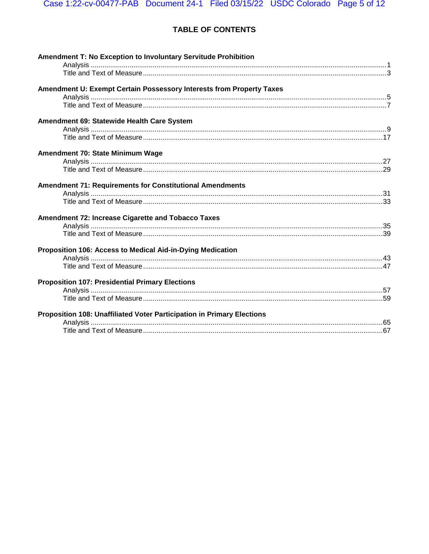## TABLE OF CONTENTS

| <b>Amendment T: No Exception to Involuntary Servitude Prohibition</b>  |  |
|------------------------------------------------------------------------|--|
|                                                                        |  |
| Amendment U: Exempt Certain Possessory Interests from Property Taxes   |  |
|                                                                        |  |
|                                                                        |  |
| Amendment 69: Statewide Health Care System                             |  |
|                                                                        |  |
|                                                                        |  |
| Amendment 70: State Minimum Wage                                       |  |
|                                                                        |  |
|                                                                        |  |
| <b>Amendment 71: Requirements for Constitutional Amendments</b>        |  |
|                                                                        |  |
|                                                                        |  |
| Amendment 72: Increase Cigarette and Tobacco Taxes                     |  |
|                                                                        |  |
|                                                                        |  |
| Proposition 106: Access to Medical Aid-in-Dying Medication             |  |
|                                                                        |  |
|                                                                        |  |
| <b>Proposition 107: Presidential Primary Elections</b>                 |  |
|                                                                        |  |
|                                                                        |  |
| Proposition 108: Unaffiliated Voter Participation in Primary Elections |  |
|                                                                        |  |
|                                                                        |  |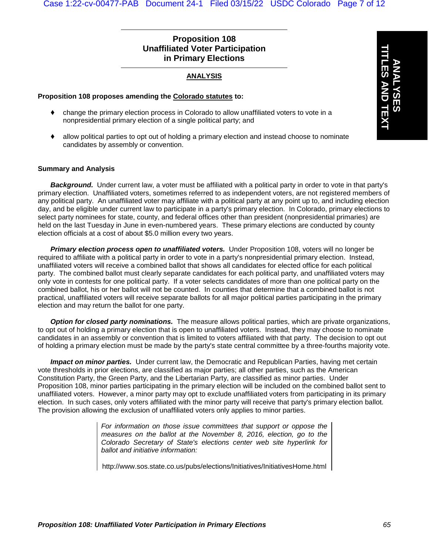## **Proposition 108 Unaffiliated Voter Participation in Primary Elections**

## **ANALYSIS**

## **Proposition 108 proposes amending the Colorado statutes to:**

- change the primary election process in Colorado to allow unaffiliated voters to vote in a nonpresidential primary election of a single political party; and
- allow political parties to opt out of holding a primary election and instead choose to nominate candidates by assembly or convention.

### **Summary and Analysis**

*Background.* Under current law, a voter must be affiliated with a political party in order to vote in that party's primary election. Unaffiliated voters, sometimes referred to as independent voters, are not registered members of any political party. An unaffiliated voter may affiliate with a political party at any point up to, and including election day, and be eligible under current law to participate in a party's primary election. In Colorado, primary elections to select party nominees for state, county, and federal offices other than president (nonpresidential primaries) are held on the last Tuesday in June in even-numbered years. These primary elections are conducted by county election officials at a cost of about \$5.0 million every two years.

*Primary election process open to unaffiliated voters.* Under Proposition 108, voters will no longer be required to affiliate with a political party in order to vote in a party's nonpresidential primary election. Instead, unaffiliated voters will receive a combined ballot that shows all candidates for elected office for each political party. The combined ballot must clearly separate candidates for each political party, and unaffiliated voters may only vote in contests for one political party. If a voter selects candidates of more than one political party on the combined ballot, his or her ballot will not be counted. In counties that determine that a combined ballot is not practical, unaffiliated voters will receive separate ballots for all major political parties participating in the primary election and may return the ballot for one party.

*Option for closed party nominations.* The measure allows political parties, which are private organizations, to opt out of holding a primary election that is open to unaffiliated voters. Instead, they may choose to nominate candidates in an assembly or convention that is limited to voters affiliated with that party. The decision to opt out of holding a primary election must be made by the party's state central committee by a three-fourths majority vote.

*Impact on minor parties.* Under current law, the Democratic and Republican Parties, having met certain vote thresholds in prior elections, are classified as major parties; all other parties, such as the American Constitution Party, the Green Party, and the Libertarian Party, are classified as minor parties. Under Proposition 108, minor parties participating in the primary election will be included on the combined ballot sent to unaffiliated voters. However, a minor party may opt to exclude unaffiliated voters from participating in its primary election. In such cases, only voters affiliated with the minor party will receive that party's primary election ballot. The provision allowing the exclusion of unaffiliated voters only applies to minor parties.

> *For information on those issue committees that support or oppose the measures on the ballot at the November 8, 2016, election, go to the Colorado Secretary of State's elections center web site hyperlink for ballot and initiative information:*

> http://www.sos.state.co.us/pubs/elections/Initiatives/InitiativesHome.html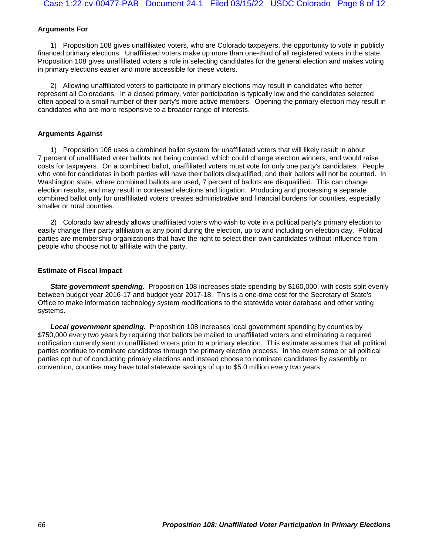## **Arguments For**

1) Proposition 108 gives unaffiliated voters, who are Colorado taxpayers, the opportunity to vote in publicly financed primary elections. Unaffiliated voters make up more than one-third of all registered voters in the state. Proposition 108 gives unaffiliated voters a role in selecting candidates for the general election and makes voting in primary elections easier and more accessible for these voters.

2) Allowing unaffiliated voters to participate in primary elections may result in candidates who better represent all Coloradans. In a closed primary, voter participation is typically low and the candidates selected often appeal to a small number of their party's more active members. Opening the primary election may result in candidates who are more responsive to a broader range of interests.

### **Arguments Against**

1) Proposition 108 uses a combined ballot system for unaffiliated voters that will likely result in about 7 percent of unaffiliated voter ballots not being counted, which could change election winners, and would raise costs for taxpayers. On a combined ballot, unaffiliated voters must vote for only one party's candidates. People who vote for candidates in both parties will have their ballots disqualified, and their ballots will not be counted. In Washington state, where combined ballots are used, 7 percent of ballots are disqualified. This can change election results, and may result in contested elections and litigation. Producing and processing a separate combined ballot only for unaffiliated voters creates administrative and financial burdens for counties, especially smaller or rural counties.

2) Colorado law already allows unaffiliated voters who wish to vote in a political party's primary election to easily change their party affiliation at any point during the election, up to and including on election day. Political parties are membership organizations that have the right to select their own candidates without influence from people who choose not to affiliate with the party.

### **Estimate of Fiscal Impact**

**State government spending.** Proposition 108 increases state spending by \$160,000, with costs split evenly between budget year 2016-17 and budget year 2017-18. This is a one-time cost for the Secretary of State's Office to make information technology system modifications to the statewide voter database and other voting systems.

*Local government spending.* Proposition 108 increases local government spending by counties by \$750,000 every two years by requiring that ballots be mailed to unaffiliated voters and eliminating a required notification currently sent to unaffiliated voters prior to a primary election. This estimate assumes that all political parties continue to nominate candidates through the primary election process. In the event some or all political parties opt out of conducting primary elections and instead choose to nominate candidates by assembly or convention, counties may have total statewide savings of up to \$5.0 million every two years.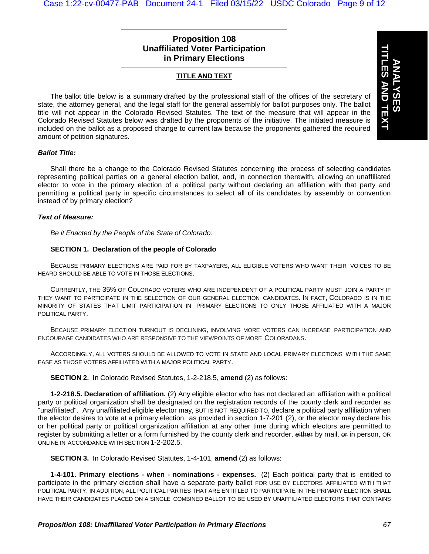## **Proposition 108 Unaffiliated Voter Participation in Primary Elections**

## **TITLE AND TEXT**

The ballot title below is a summary drafted by the professional staff of the offices of the secretary of state, the attorney general, and the legal staff for the general assembly for ballot purposes only. The ballot title will not appear in the Colorado Revised Statutes. The text of the measure that will appear in the Colorado Revised Statutes below was drafted by the proponents of the initiative. The initiated measure is included on the ballot as a proposed change to current law because the proponents gathered the required amount of petition signatures.

#### *Ballot Title:*

Shall there be a change to the Colorado Revised Statutes concerning the process of selecting candidates representing political parties on a general election ballot, and, in connection therewith, allowing an unaffiliated elector to vote in the primary election of a political party without declaring an affiliation with that party and permitting a political party in specific circumstances to select all of its candidates by assembly or convention instead of by primary election?

#### *Text of Measure:*

*Be it Enacted by the People of the State of Colorado:*

### **SECTION 1. Declaration of the people of Colorado**

BECAUSE PRIMARY ELECTIONS ARE PAID FOR BY TAXPAYERS, ALL ELIGIBLE VOTERS WHO WANT THEIR VOICES TO BE HEARD SHOULD BE ABLE TO VOTE IN THOSE ELECTIONS.

CURRENTLY, THE 35% OF COLORADO VOTERS WHO ARE INDEPENDENT OF A POLITICAL PARTY MUST JOIN A PARTY IF THEY WANT TO PARTICIPATE IN THE SELECTION OF OUR GENERAL ELECTION CANDIDATES. IN FACT, COLORADO IS IN THE MINORITY OF STATES THAT LIMIT PARTICIPATION IN PRIMARY ELECTIONS TO ONLY THOSE AFFILIATED WITH A MAJOR POLITICAL PARTY.

BECAUSE PRIMARY ELECTION TURNOUT IS DECLINING, INVOLVING MORE VOTERS CAN INCREASE PARTICIPATION AND ENCOURAGE CANDIDATES WHO ARE RESPONSIVE TO THE VIEWPOINTS OF MORE COLORADANS.

ACCORDINGLY, ALL VOTERS SHOULD BE ALLOWED TO VOTE IN STATE AND LOCAL PRIMARY ELECTIONS WITH THE SAME EASE AS THOSE VOTERS AFFILIATED WITH A MAJOR POLITICAL PARTY.

**SECTION 2.** In Colorado Revised Statutes, 1-2-218.5, **amend** (2) as follows:

**1-2-218.5. Declaration of affiliation.** (2) Any eligible elector who has not declared an affiliation with a political party or political organization shall be designated on the registration records of the county clerk and recorder as "unaffiliated". Any unaffiliated eligible elector may, BUT IS NOT REQUIRED TO, declare a political party affiliation when the elector desires to vote at a primary election, as provided in section 1-7-201 (2), or the elector may declare his or her political party or political organization affiliation at any other time during which electors are permitted to register by submitting a letter or a form furnished by the county clerk and recorder, either by mail, er in person, OR ONLINE IN ACCORDANCE WITH SECTION 1-2-202.5.

**SECTION 3.** In Colorado Revised Statutes, 1-4-101, **amend** (2) as follows:

**1-4-101. Primary elections - when - nominations - expenses.** (2) Each political party that is entitled to participate in the primary election shall have a separate party ballot FOR USE BY ELECTORS AFFILIATED WITH THAT POLITICAL PARTY. IN ADDITION, ALL POLITICAL PARTIES THAT ARE ENTITLED TO PARTICIPATE IN THE PRIMARY ELECTION SHALL HAVE THEIR CANDIDATES PLACED ON A SINGLE COMBINED BALLOT TO BE USED BY UNAFFILIATED ELECTORS THAT CONTAINS

**ANALYSES**

**TITLES AND TEXT**

**ES AND TEXT**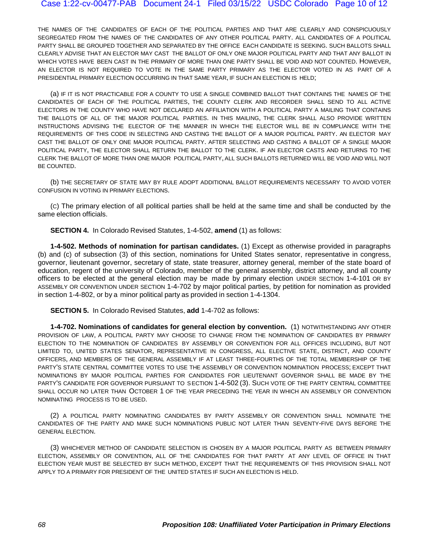THE NAMES OF THE CANDIDATES OF EACH OF THE POLITICAL PARTIES AND THAT ARE CLEARLY AND CONSPICUOUSLY SEGREGATED FROM THE NAMES OF THE CANDIDATES OF ANY OTHER POLITICAL PARTY. ALL CANDIDATES OF A POLITICAL PARTY SHALL BE GROUPED TOGETHER AND SEPARATED BY THE OFFICE EACH CANDIDATE IS SEEKING. SUCH BALLOTS SHALL CLEARLY ADVISE THAT AN ELECTOR MAY CAST THE BALLOT OF ONLY ONE MAJOR POLITICAL PARTY AND THAT ANY BALLOT IN WHICH VOTES HAVE BEEN CAST IN THE PRIMARY OF MORE THAN ONE PARTY SHALL BE VOID AND NOT COUNTED. HOWEVER, AN ELECTOR IS NOT REQUIRED TO VOTE IN THE SAME PARTY PRIMARY AS THE ELECTOR VOTED IN AS PART OF A PRESIDENTIAL PRIMARY ELECTION OCCURRING IN THAT SAME YEAR, IF SUCH AN ELECTION IS HELD;

(a) IF IT IS NOT PRACTICABLE FOR A COUNTY TO USE A SINGLE COMBINED BALLOT THAT CONTAINS THE NAMES OF THE CANDIDATES OF EACH OF THE POLITICAL PARTIES, THE COUNTY CLERK AND RECORDER SHALL SEND TO ALL ACTIVE ELECTORS IN THE COUNTY WHO HAVE NOT DECLARED AN AFFILIATION WITH A POLITICAL PARTY A MAILING THAT CONTAINS THE BALLOTS OF ALL OF THE MAJOR POLITICAL PARTIES. IN THIS MAILING, THE CLERK SHALL ALSO PROVIDE WRITTEN INSTRUCTIONS ADVISING THE ELECTOR OF THE MANNER IN WHICH THE ELECTOR WILL BE IN COMPLIANCE WITH THE REQUIREMENTS OF THIS CODE IN SELECTING AND CASTING THE BALLOT OF A MAJOR POLITICAL PARTY. AN ELECTOR MAY CAST THE BALLOT OF ONLY ONE MAJOR POLITICAL PARTY. AFTER SELECTING AND CASTING A BALLOT OF A SINGLE MAJOR POLITICAL PARTY, THE ELECTOR SHALL RETURN THE BALLOT TO THE CLERK. IF AN ELECTOR CASTS AND RETURNS TO THE CLERK THE BALLOT OF MORE THAN ONE MAJOR POLITICAL PARTY, ALL SUCH BALLOTS RETURNED WILL BE VOID AND WILL NOT BE COUNTED.

(b) THE SECRETARY OF STATE MAY BY RULE ADOPT ADDITIONAL BALLOT REQUIREMENTS NECESSARY TO AVOID VOTER CONFUSION IN VOTING IN PRIMARY ELECTIONS.

(C) The primary election of all political parties shall be held at the same time and shall be conducted by the same election officials.

**SECTION 4.** In Colorado Revised Statutes, 1-4-502, **amend** (1) as follows:

**1-4-502. Methods of nomination for partisan candidates.** (1) Except as otherwise provided in paragraphs (b) and (c) of subsection (3) of this section, nominations for United States senator, representative in congress, governor, lieutenant governor, secretary of state, state treasurer, attorney general, member of the state board of education, regent of the university of Colorado, member of the general assembly, district attorney, and all county officers to be elected at the general election may be made by primary election UNDER SECTION 1-4-101 OR BY ASSEMBLY OR CONVENTION UNDER SECTION 1-4-702 by major political parties, by petition for nomination as provided in section 1-4-802, or by a minor political party as provided in section 1-4-1304.

**SECTION 5.** In Colorado Revised Statutes, **add** 1-4-702 as follows:

**1-4-702. Nominations of candidates for general election by convention.** (1) NOTWITHSTANDING ANY OTHER PROVISION OF LAW, A POLITICAL PARTY MAY CHOOSE TO CHANGE FROM THE NOMINATION OF CANDIDATES BY PRIMARY ELECTION TO THE NOMINATION OF CANDIDATES BY ASSEMBLY OR CONVENTION FOR ALL OFFICES INCLUDING, BUT NOT LIMITED TO, UNITED STATES SENATOR, REPRESENTATIVE IN CONGRESS, ALL ELECTIVE STATE, DISTRICT, AND COUNTY OFFICERS, AND MEMBERS OF THE GENERAL ASSEMBLY IF AT LEAST THREE-FOURTHS OF THE TOTAL MEMBERSHIP OF THE PARTY'S STATE CENTRAL COMMITTEE VOTES TO USE THE ASSEMBLY OR CONVENTION NOMINATION PROCESS; EXCEPT THAT NOMINATIONS BY MAJOR POLITICAL PARTIES FOR CANDIDATES FOR LIEUTENANT GOVERNOR SHALL BE MADE BY THE PARTY'S CANDIDATE FOR GOVERNOR PURSUANT TO SECTION 1-4-502 (3). SUCH VOTE OF THE PARTY CENTRAL COMMITTEE SHALL OCCUR NO LATER THAN OCTOBER 1 OF THE YEAR PRECEDING THE YEAR IN WHICH AN ASSEMBLY OR CONVENTION NOMINATING PROCESS IS TO BE USED.

(2) A POLITICAL PARTY NOMINATING CANDIDATES BY PARTY ASSEMBLY OR CONVENTION SHALL NOMINATE THE CANDIDATES OF THE PARTY AND MAKE SUCH NOMINATIONS PUBLIC NOT LATER THAN SEVENTY-FIVE DAYS BEFORE THE GENERAL ELECTION.

(3) WHICHEVER METHOD OF CANDIDATE SELECTION IS CHOSEN BY A MAJOR POLITICAL PARTY AS BETWEEN PRIMARY ELECTION, ASSEMBLY OR CONVENTION, ALL OF THE CANDIDATES FOR THAT PARTY AT ANY LEVEL OF OFFICE IN THAT ELECTION YEAR MUST BE SELECTED BY SUCH METHOD, EXCEPT THAT THE REQUIREMENTS OF THIS PROVISION SHALL NOT APPLY TO A PRIMARY FOR PRESIDENT OF THE UNITED STATES IF SUCH AN ELECTION IS HELD.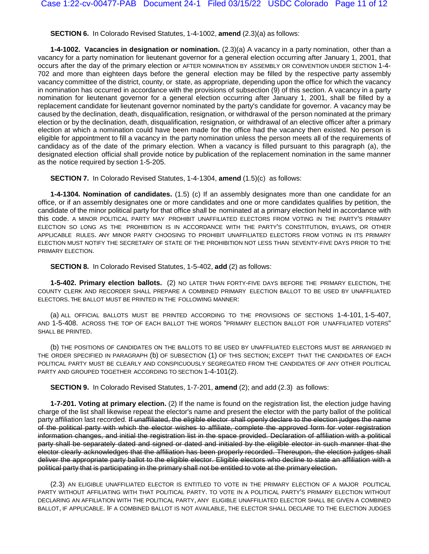**SECTION 6.** In Colorado Revised Statutes, 1-4-1002, **amend** (2.3)(a) as follows:

**1-4-1002. Vacancies in designation or nomination.** (2.3)(a) A vacancy in a party nomination, other than a vacancy for a party nomination for lieutenant governor for a general election occurring after January 1, 2001, that occurs after the day of the primary election or AFTER NOMINATION BY ASSEMBLY OR CONVENTION UNDER SECTION 1-4- 702 and more than eighteen days before the general election may be filled by the respective party assembly vacancy committee of the district, county, or state, as appropriate, depending upon the office for which the vacancy in nomination has occurred in accordance with the provisions of subsection (9) of this section. A vacancy in a party nomination for lieutenant governor for a general election occurring after January 1, 2001, shall be filled by a replacement candidate for lieutenant governor nominated by the party's candidate for governor. A vacancy may be caused by the declination, death, disqualification, resignation, or withdrawal of the person nominated at the primary election or by the declination, death, disqualification, resignation, or withdrawal of an elective officer after a primary election at which a nomination could have been made for the office had the vacancy then existed. No person is eligible for appointment to fill a vacancy in the party nomination unless the person meets all of the requirements of candidacy as of the date of the primary election. When a vacancy is filled pursuant to this paragraph (a), the designated election official shall provide notice by publication of the replacement nomination in the same manner as the notice required by section [1-5-205.](http://web.lexisnexis.com/research/buttonTFLink?_m=a27794a430dd03e7a3c1495740aa6528&_xfercite=%3ccite%20cc%3d%22USA%22%3e%3c%21%5bCDATA%5bC.R.S.%201-4-1002%5d%5d%3e%3c%2fcite%3e&_butType=4&_butStat=0&_butNum=2&_butInline=1&_butinfo=COCODE%201-5-205&_fmtstr=FULL&docnum=6&_startdoc=1&wchp=dGLbVzB-zSkAb&_md5=5583209ea29711073a1d96c5e6ce2d71)

**SECTION 7.** In Colorado Revised Statutes, 1-4-1304, **amend** (1.5)(c) as follows:

**1-4-1304. Nomination of candidates.** (1.5) (c) If an assembly designates more than one candidate for an office, or if an assembly designates one or more candidates and one or more candidates qualifies by petition, the candidate of the minor political party for that office shall be nominated at a primary election held in accordance with this code. A MINOR POLITICAL PARTY MAY PROHIBIT UNAFFILIATED ELECTORS FROM VOTING IN THE PARTY'S PRIMARY ELECTION SO LONG AS THE PROHIBITION IS IN ACCORDANCE WITH THE PARTY'S CONSTITUTION, BYLAWS, OR OTHER APPLICABLE RULES. ANY MINOR PARTY CHOOSING TO PROHIBIT UNAFFILIATED ELECTORS FROM VOTING IN ITS PRIMARY ELECTION MUST NOTIFY THE SECRETARY OF STATE OF THE PROHIBITION NOT LESS THAN SEVENTY-FIVE DAYS PRIOR TO THE PRIMARY ELECTION.

**SECTION 8.** In Colorado Revised Statutes, 1-5-402, **add** (2) as follows:

**1-5-402. Primary election ballots.** (2) NO LATER THAN FORTY-FIVE DAYS BEFORE THE PRIMARY ELECTION, THE COUNTY CLERK AND RECORDER SHALL PREPARE A COMBINED PRIMARY ELECTION BALLOT TO BE USED BY UNAFFILIATED ELECTORS. THE BALLOT MUST BE PRINTED IN THE FOLLOWING MANNER:

(a) ALL OFFICIAL BALLOTS MUST BE PRINTED ACCORDING TO THE PROVISIONS OF SECTIONS 1-4-101, 1-5-407, AND 1-5-408. ACROSS THE TOP OF EACH BALLOT THE WORDS "PRIMARY ELECTION BALLOT FOR U NAFFILIATED VOTERS" SHALL BE PRINTED.

(b) THE POSITIONS OF CANDIDATES ON THE BALLOTS TO BE USED BY UNAFFILIATED ELECTORS MUST BE ARRANGED IN THE ORDER SPECIFIED IN PARAGRAPH (b) OF SUBSECTION (1) OF THIS SECTION; EXCEPT THAT THE CANDIDATES OF EACH POLITICAL PARTY MUST BE CLEARLY AND CONSPICUOUSLY SEGREGATED FROM THE CANDIDATES OF ANY OTHER POLITICAL PARTY AND GROUPED TOGETHER ACCORDING TO SECTION 1-4-101(2).

**SECTION 9.** In Colorado Revised Statutes, 1-7-201, **amend** (2); and add (2.3) as follows:

**1-7-201. Voting at primary election.** (2) If the name is found on the registration list, the election judge having charge of the list shall likewise repeat the elector's name and present the elector with the party ballot of the political party affiliation last recorded. If unaffiliated, the eligible elector shall openly declare to the election judges the name of the political party with which the elector wishes to affiliate, complete the approved form for voter registration information changes, and initial the registration list in the space provided. Declaration of affiliation with a political party shall be separately dated and signed or dated and initialed by the eligible elector in such manner that the elector clearly acknowledges that the affiliation has been properly recorded. Thereupon, the election judges shall deliver the appropriate party ballot to the eligible elector. Eligible electors who decline to state an affiliation with a political party that is participating in the primary shall not be entitled to vote at the primary election.

(2.3) AN ELIGIBLE UNAFFILIATED ELECTOR IS ENTITLED TO VOTE IN THE PRIMARY ELECTION OF A MAJOR POLITICAL PARTY WITHOUT AFFILIATING WITH THAT POLITICAL PARTY. TO VOTE IN A POLITICAL PARTY'S PRIMARY ELECTION WITHOUT DECLARING AN AFFILIATION WITH THE POLITICAL PARTY, ANY ELIGIBLE UNAFFILIATED ELECTOR SHALL BE GIVEN A COMBINED BALLOT, IF APPLICABLE. IF A COMBINED BALLOT IS NOT AVAILABLE, THE ELECTOR SHALL DECLARE TO THE ELECTION JUDGES